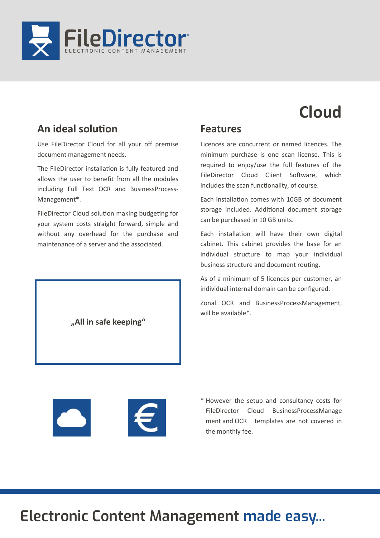

# **Cloud**

### **An ideal solution**

Use FileDirector Cloud for all your off premise document management needs.

The FileDirector installation is fully featured and allows the user to benefit from all the modules including Full Text OCR and BusinessProcess-Management\*.

FileDirector Cloud solution making budgeting for your system costs straight forward, simple and without any overhead for the purchase and maintenance of a server and the associated.

**"All in safe keeping"**

### **Features**

Licences are concurrent or named licences. The minimum purchase is one scan license. This is required to enjoy/use the full features of the FileDirector Cloud Client Software, which includes the scan functionality, of course.

Each installation comes with 10GB of document storage included. Additional document storage can be purchased in 10 GB units.

Each installation will have their own digital cabinet. This cabinet provides the base for an individual structure to map your individual business structure and document routing.

As of a minimum of 5 licences per customer, an individual internal domain can be configured.

Zonal OCR and BusinessProcessManagement, will be available\*.





\* However the setup and consultancy costs for FileDirector Cloud BusinessProcessManage ment and OCR templates are not covered in the monthly fee.

# **Electronic Content Management made easy...**